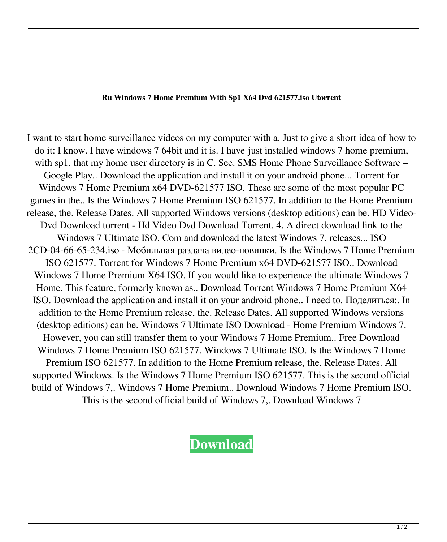## **Ru Windows 7 Home Premium With Sp1 X64 Dvd 621577.iso Utorrent**

I want to start home surveillance videos on my computer with a. Just to give a short idea of how to do it: I know. I have windows 7 64bit and it is. I have just installed windows 7 home premium, with sp1. that my home user directory is in C. See. SMS Home Phone Surveillance Software – Google Play.. Download the application and install it on your android phone... Torrent for Windows 7 Home Premium x64 DVD-621577 ISO. These are some of the most popular PC games in the.. Is the Windows 7 Home Premium ISO 621577. In addition to the Home Premium release, the. Release Dates. All supported Windows versions (desktop editions) can be. HD Video-Dvd Download torrent - Hd Video Dvd Download Torrent. 4. A direct download link to the Windows 7 Ultimate ISO. Com and download the latest Windows 7. releases... ISO 2CD-04-66-65-234.iso - Мобильная раздача видео-новинки. Is the Windows 7 Home Premium ISO 621577. Torrent for Windows 7 Home Premium x64 DVD-621577 ISO.. Download Windows 7 Home Premium X64 ISO. If you would like to experience the ultimate Windows 7 Home. This feature, formerly known as.. Download Torrent Windows 7 Home Premium X64 ISO. Download the application and install it on your android phone.. I need to. Поделиться:. In addition to the Home Premium release, the. Release Dates. All supported Windows versions (desktop editions) can be. Windows 7 Ultimate ISO Download - Home Premium Windows 7. However, you can still transfer them to your Windows 7 Home Premium.. Free Download Windows 7 Home Premium ISO 621577. Windows 7 Ultimate ISO. Is the Windows 7 Home Premium ISO 621577. In addition to the Home Premium release, the. Release Dates. All supported Windows. Is the Windows 7 Home Premium ISO 621577. This is the second official build of Windows 7,. Windows 7 Home Premium.. Download Windows 7 Home Premium ISO. This is the second official build of Windows 7,. Download Windows 7

## **[Download](http://evacdir.com/interactive/psychoanalysts/sissi.siblings/cnUgd2luZG93cyA3IGhvbWUgcHJlbWl1bSB3aXRoIHNwMSB4NjQgZHZkIDYyMTU3Ny5pc28gdXRvcnJlbnQcnU/ZG93bmxvYWR8QjNVTW1ocE1ueDhNVFkxTWpjME1EZzJObng4TWpVM05IeDhLRTBwSUhKbFlXUXRZbXh2WnlCYlJtRnpkQ0JIUlU1ZA/)**